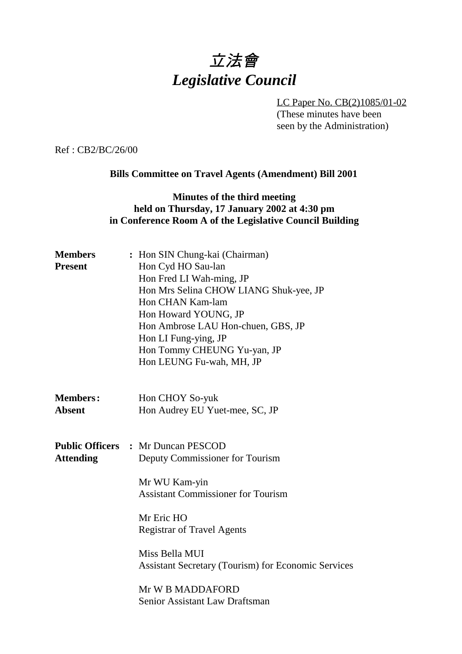# 立法會 *Legislative Council*

LC Paper No. CB(2)1085/01-02 (These minutes have been seen by the Administration)

Ref : CB2/BC/26/00

#### **Bills Committee on Travel Agents (Amendment) Bill 2001**

## **Minutes of the third meeting held on Thursday, 17 January 2002 at 4:30 pm in Conference Room A of the Legislative Council Building**

| : Hon SIN Chung-kai (Chairman)<br>Hon Cyd HO Sau-lan<br>Hon Fred LI Wah-ming, JP<br>Hon Mrs Selina CHOW LIANG Shuk-yee, JP<br>Hon CHAN Kam-lam<br>Hon Howard YOUNG, JP<br>Hon Ambrose LAU Hon-chuen, GBS, JP<br>Hon LI Fung-ying, JP<br>Hon Tommy CHEUNG Yu-yan, JP<br>Hon LEUNG Fu-wah, MH, JP                                     |
|-------------------------------------------------------------------------------------------------------------------------------------------------------------------------------------------------------------------------------------------------------------------------------------------------------------------------------------|
| Hon CHOY So-yuk<br>Hon Audrey EU Yuet-mee, SC, JP                                                                                                                                                                                                                                                                                   |
| <b>Public Officers : Mr Duncan PESCOD</b><br>Deputy Commissioner for Tourism<br>Mr WU Kam-yin<br><b>Assistant Commissioner for Tourism</b><br>Mr Eric HO<br><b>Registrar of Travel Agents</b><br>Miss Bella MUI<br><b>Assistant Secretary (Tourism) for Economic Services</b><br>Mr W B MADDAFORD<br>Senior Assistant Law Draftsman |
|                                                                                                                                                                                                                                                                                                                                     |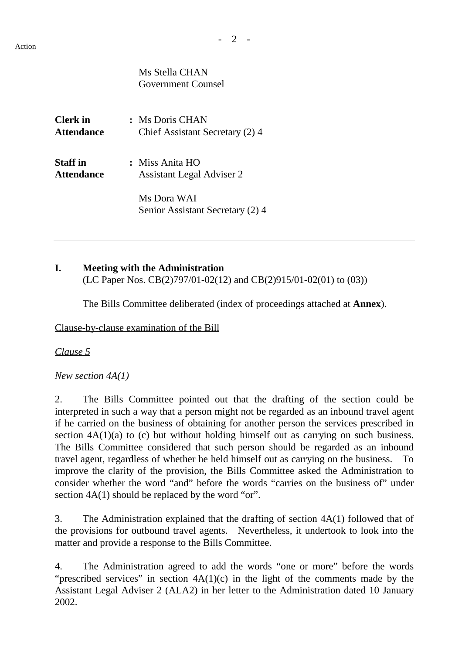$- 2 -$ 

Ms Stella CHAN Government Counsel

**Clerk in :** Ms Doris CHAN **Attendance** Chief Assistant Secretary (2) 4

**Staff in :** Miss Anita HO **Attendance** Assistant Legal Adviser 2

> Ms Dora WAI Senior Assistant Secretary (2) 4

## **I. Meeting with the Administration**

(LC Paper Nos. CB(2)797/01-02(12) and CB(2)915/01-02(01) to (03))

The Bills Committee deliberated (index of proceedings attached at **Annex**).

Clause-by-clause examination of the Bill

*Clause 5*

*New section 4A(1)*

2. The Bills Committee pointed out that the drafting of the section could be interpreted in such a way that a person might not be regarded as an inbound travel agent if he carried on the business of obtaining for another person the services prescribed in section  $4A(1)(a)$  to (c) but without holding himself out as carrying on such business. The Bills Committee considered that such person should be regarded as an inbound travel agent, regardless of whether he held himself out as carrying on the business. To improve the clarity of the provision, the Bills Committee asked the Administration to consider whether the word "and" before the words "carries on the business of" under section  $4A(1)$  should be replaced by the word "or".

3. The Administration explained that the drafting of section 4A(1) followed that of the provisions for outbound travel agents. Nevertheless, it undertook to look into the matter and provide a response to the Bills Committee.

4. The Administration agreed to add the words "one or more" before the words "prescribed services" in section  $4A(1)(c)$  in the light of the comments made by the Assistant Legal Adviser 2 (ALA2) in her letter to the Administration dated 10 January 2002.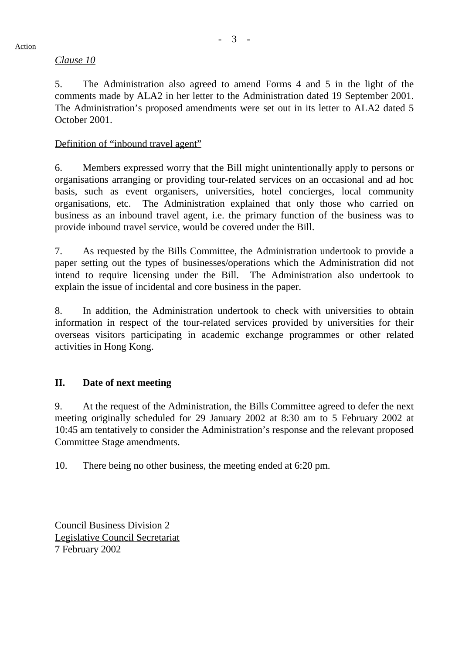#### *Clause 10*

5. The Administration also agreed to amend Forms 4 and 5 in the light of the comments made by ALA2 in her letter to the Administration dated 19 September 2001. The Administration's proposed amendments were set out in its letter to ALA2 dated 5 October 2001.

## Definition of "inbound travel agent"

6. Members expressed worry that the Bill might unintentionally apply to persons or organisations arranging or providing tour-related services on an occasional and ad hoc basis, such as event organisers, universities, hotel concierges, local community organisations, etc. The Administration explained that only those who carried on business as an inbound travel agent, i.e. the primary function of the business was to provide inbound travel service, would be covered under the Bill.

7. As requested by the Bills Committee, the Administration undertook to provide a paper setting out the types of businesses/operations which the Administration did not intend to require licensing under the Bill. The Administration also undertook to explain the issue of incidental and core business in the paper.

8. In addition, the Administration undertook to check with universities to obtain information in respect of the tour-related services provided by universities for their overseas visitors participating in academic exchange programmes or other related activities in Hong Kong.

## **II. Date of next meeting**

9. At the request of the Administration, the Bills Committee agreed to defer the next meeting originally scheduled for 29 January 2002 at 8:30 am to 5 February 2002 at 10:45 am tentatively to consider the Administration's response and the relevant proposed Committee Stage amendments.

10. There being no other business, the meeting ended at 6:20 pm.

Council Business Division 2 Legislative Council Secretariat 7 February 2002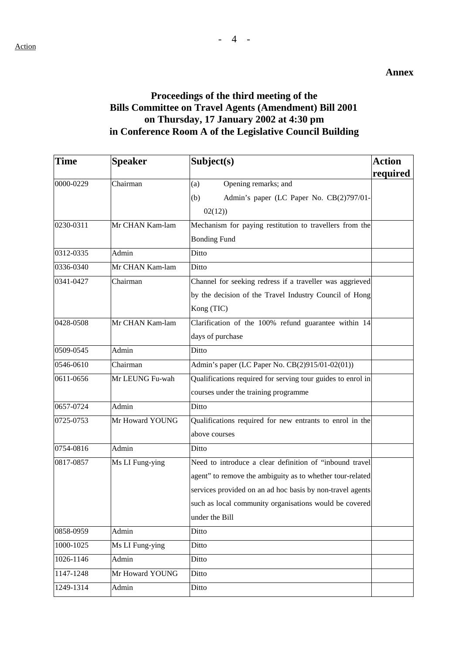#### **Annex**

# **Proceedings of the third meeting of the Bills Committee on Travel Agents (Amendment) Bill 2001 on Thursday, 17 January 2002 at 4:30 pm in Conference Room A of the Legislative Council Building**

| <b>Time</b> | <b>Speaker</b>  | Subject(s)                                                  | <b>Action</b> |
|-------------|-----------------|-------------------------------------------------------------|---------------|
|             |                 |                                                             | required      |
| 0000-0229   | Chairman        | Opening remarks; and<br>(a)                                 |               |
|             |                 | Admin's paper (LC Paper No. CB(2)797/01-<br>(b)             |               |
|             |                 | 02(12)                                                      |               |
| 0230-0311   | Mr CHAN Kam-lam | Mechanism for paying restitution to travellers from the     |               |
|             |                 | <b>Bonding Fund</b>                                         |               |
| 0312-0335   | Admin           | Ditto                                                       |               |
| 0336-0340   | Mr CHAN Kam-lam | Ditto                                                       |               |
| 0341-0427   | Chairman        | Channel for seeking redress if a traveller was aggrieved    |               |
|             |                 | by the decision of the Travel Industry Council of Hong      |               |
|             |                 | Kong (TIC)                                                  |               |
| 0428-0508   | Mr CHAN Kam-lam | Clarification of the 100% refund guarantee within 14        |               |
|             |                 | days of purchase                                            |               |
| 0509-0545   | Admin           | Ditto                                                       |               |
| 0546-0610   | Chairman        | Admin's paper (LC Paper No. CB(2)915/01-02(01))             |               |
| 0611-0656   | Mr LEUNG Fu-wah | Qualifications required for serving tour guides to enrol in |               |
|             |                 | courses under the training programme                        |               |
| 0657-0724   | Admin           | Ditto                                                       |               |
| 0725-0753   | Mr Howard YOUNG | Qualifications required for new entrants to enrol in the    |               |
|             |                 | above courses                                               |               |
| 0754-0816   | Admin           | Ditto                                                       |               |
| 0817-0857   | Ms LI Fung-ying | Need to introduce a clear definition of "inbound travel     |               |
|             |                 | agent" to remove the ambiguity as to whether tour-related   |               |
|             |                 | services provided on an ad hoc basis by non-travel agents   |               |
|             |                 | such as local community organisations would be covered      |               |
|             |                 | under the Bill                                              |               |
| 0858-0959   | Admin           | Ditto                                                       |               |
| 1000-1025   | Ms LI Fung-ying | Ditto                                                       |               |
| 1026-1146   | Admin           | Ditto                                                       |               |
| 1147-1248   | Mr Howard YOUNG | Ditto                                                       |               |
| 1249-1314   | Admin           | Ditto                                                       |               |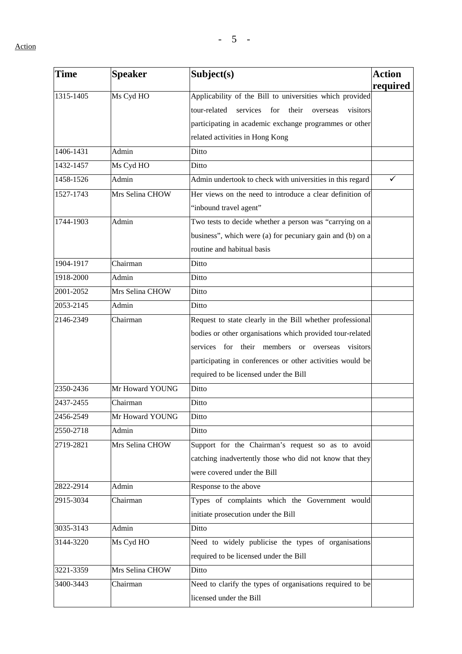Action

| Time      | <b>Speaker</b>  | Subject(s)                                                       | <b>Action</b> |
|-----------|-----------------|------------------------------------------------------------------|---------------|
|           |                 |                                                                  | required      |
| 1315-1405 | Ms Cyd HO       | Applicability of the Bill to universities which provided         |               |
|           |                 | tour-related<br>services<br>for<br>their<br>visitors<br>overseas |               |
|           |                 | participating in academic exchange programmes or other           |               |
|           |                 | related activities in Hong Kong                                  |               |
| 1406-1431 | Admin           | Ditto                                                            |               |
| 1432-1457 | Ms Cyd HO       | Ditto                                                            |               |
| 1458-1526 | Admin           | Admin undertook to check with universities in this regard        | ✓             |
| 1527-1743 | Mrs Selina CHOW | Her views on the need to introduce a clear definition of         |               |
|           |                 | "inbound travel agent"                                           |               |
| 1744-1903 | Admin           | Two tests to decide whether a person was "carrying on a          |               |
|           |                 | business", which were (a) for pecuniary gain and (b) on a        |               |
|           |                 | routine and habitual basis                                       |               |
| 1904-1917 | Chairman        | Ditto                                                            |               |
| 1918-2000 | Admin           | Ditto                                                            |               |
| 2001-2052 | Mrs Selina CHOW | Ditto                                                            |               |
| 2053-2145 | Admin           | Ditto                                                            |               |
| 2146-2349 | Chairman        | Request to state clearly in the Bill whether professional        |               |
|           |                 | bodies or other organisations which provided tour-related        |               |
|           |                 | services for their members or overseas<br>visitors               |               |
|           |                 | participating in conferences or other activities would be        |               |
|           |                 | required to be licensed under the Bill                           |               |
| 2350-2436 | Mr Howard YOUNG | Ditto                                                            |               |
| 2437-2455 | Chairman        | Ditto                                                            |               |
| 2456-2549 | Mr Howard YOUNG | Ditto                                                            |               |
| 2550-2718 | Admin           | Ditto                                                            |               |
| 2719-2821 | Mrs Selina CHOW | Support for the Chairman's request so as to avoid                |               |
|           |                 | catching inadvertently those who did not know that they          |               |
|           |                 | were covered under the Bill                                      |               |
| 2822-2914 | Admin           | Response to the above                                            |               |
| 2915-3034 | Chairman        | Types of complaints which the Government would                   |               |
|           |                 | initiate prosecution under the Bill                              |               |
| 3035-3143 | Admin           | Ditto                                                            |               |
| 3144-3220 | Ms Cyd HO       | Need to widely publicise the types of organisations              |               |
|           |                 | required to be licensed under the Bill                           |               |
| 3221-3359 | Mrs Selina CHOW | Ditto                                                            |               |
| 3400-3443 | Chairman        | Need to clarify the types of organisations required to be        |               |
|           |                 | licensed under the Bill                                          |               |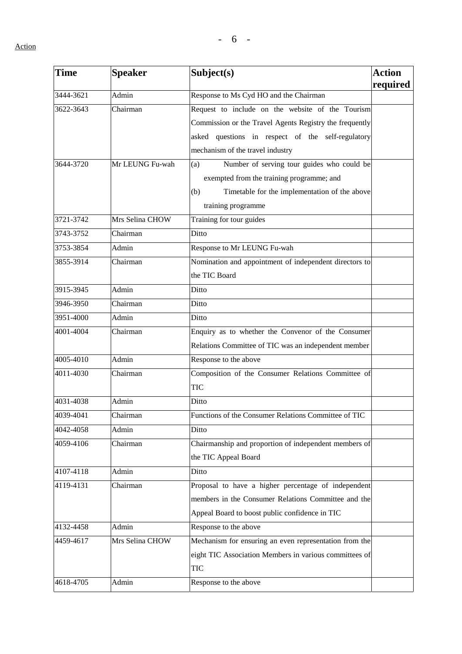| <b>Time</b> | <b>Speaker</b>  | Subject(s)                                              | <b>Action</b><br>required |
|-------------|-----------------|---------------------------------------------------------|---------------------------|
| 3444-3621   | Admin           | Response to Ms Cyd HO and the Chairman                  |                           |
| 3622-3643   | Chairman        | Request to include on the website of the Tourism        |                           |
|             |                 | Commission or the Travel Agents Registry the frequently |                           |
|             |                 | asked questions in respect of the self-regulatory       |                           |
|             |                 | mechanism of the travel industry                        |                           |
| 3644-3720   | Mr LEUNG Fu-wah | Number of serving tour guides who could be<br>(a)       |                           |
|             |                 | exempted from the training programme; and               |                           |
|             |                 | Timetable for the implementation of the above<br>(b)    |                           |
|             |                 | training programme                                      |                           |
| 3721-3742   | Mrs Selina CHOW | Training for tour guides                                |                           |
| 3743-3752   | Chairman        | Ditto                                                   |                           |
| 3753-3854   | Admin           | Response to Mr LEUNG Fu-wah                             |                           |
| 3855-3914   | Chairman        | Nomination and appointment of independent directors to  |                           |
|             |                 | the TIC Board                                           |                           |
| 3915-3945   | Admin           | Ditto                                                   |                           |
| 3946-3950   | Chairman        | Ditto                                                   |                           |
| 3951-4000   | Admin           | Ditto                                                   |                           |
| 4001-4004   | Chairman        | Enquiry as to whether the Convenor of the Consumer      |                           |
|             |                 | Relations Committee of TIC was an independent member    |                           |
| 4005-4010   | Admin           | Response to the above                                   |                           |
| 4011-4030   | Chairman        | Composition of the Consumer Relations Committee of      |                           |
|             |                 | TIC                                                     |                           |
| 4031-4038   | Admin           | Ditto                                                   |                           |
| 4039-4041   | Chairman        | Functions of the Consumer Relations Committee of TIC    |                           |
| 4042-4058   | Admin           | Ditto                                                   |                           |
| 4059-4106   | Chairman        | Chairmanship and proportion of independent members of   |                           |
|             |                 | the TIC Appeal Board                                    |                           |
| 4107-4118   | Admin           | Ditto                                                   |                           |
| 4119-4131   | Chairman        | Proposal to have a higher percentage of independent     |                           |
|             |                 | members in the Consumer Relations Committee and the     |                           |
|             |                 | Appeal Board to boost public confidence in TIC          |                           |
| 4132-4458   | Admin           | Response to the above                                   |                           |
| 4459-4617   | Mrs Selina CHOW | Mechanism for ensuring an even representation from the  |                           |
|             |                 | eight TIC Association Members in various committees of  |                           |
|             |                 | <b>TIC</b>                                              |                           |
| 4618-4705   | Admin           | Response to the above                                   |                           |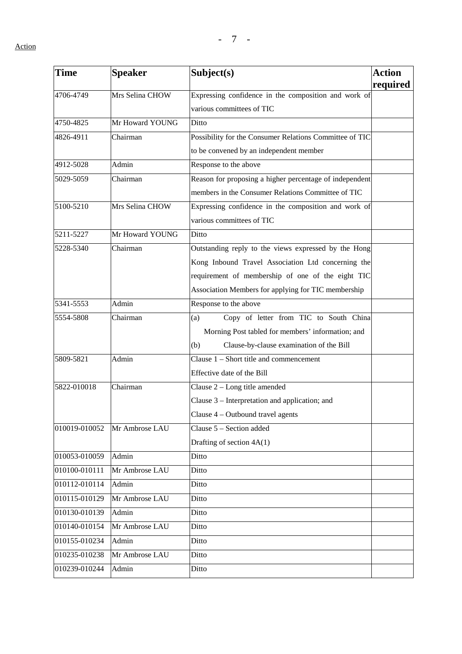| <b>Time</b>   | <b>Speaker</b>  | Subject(s)                                              | <b>Action</b><br>required |
|---------------|-----------------|---------------------------------------------------------|---------------------------|
| 4706-4749     | Mrs Selina CHOW | Expressing confidence in the composition and work of    |                           |
|               |                 | various committees of TIC                               |                           |
| 4750-4825     | Mr Howard YOUNG | Ditto                                                   |                           |
| 4826-4911     | Chairman        | Possibility for the Consumer Relations Committee of TIC |                           |
|               |                 | to be convened by an independent member                 |                           |
| 4912-5028     | Admin           | Response to the above                                   |                           |
| 5029-5059     | Chairman        | Reason for proposing a higher percentage of independent |                           |
|               |                 | members in the Consumer Relations Committee of TIC      |                           |
| 5100-5210     | Mrs Selina CHOW | Expressing confidence in the composition and work of    |                           |
|               |                 | various committees of TIC                               |                           |
| 5211-5227     | Mr Howard YOUNG | Ditto                                                   |                           |
| 5228-5340     | Chairman        | Outstanding reply to the views expressed by the Hong    |                           |
|               |                 | Kong Inbound Travel Association Ltd concerning the      |                           |
|               |                 | requirement of membership of one of the eight TIC       |                           |
|               |                 | Association Members for applying for TIC membership     |                           |
| 5341-5553     | Admin           | Response to the above                                   |                           |
| 5554-5808     | Chairman        | Copy of letter from TIC to South China<br>(a)           |                           |
|               |                 | Morning Post tabled for members' information; and       |                           |
|               |                 | Clause-by-clause examination of the Bill<br>(b)         |                           |
| 5809-5821     | Admin           | Clause $1 -$ Short title and commencement               |                           |
|               |                 | Effective date of the Bill                              |                           |
| 5822-010018   | Chairman        | Clause 2 - Long title amended                           |                           |
|               |                 | Clause 3 – Interpretation and application; and          |                           |
|               |                 | Clause $4$ – Outbound travel agents                     |                           |
| 010019-010052 | Mr Ambrose LAU  | Clause 5 - Section added                                |                           |
|               |                 | Drafting of section 4A(1)                               |                           |
| 010053-010059 | Admin           | Ditto                                                   |                           |
| 010100-010111 | Mr Ambrose LAU  | Ditto                                                   |                           |
| 010112-010114 | Admin           | Ditto                                                   |                           |
| 010115-010129 | Mr Ambrose LAU  | Ditto                                                   |                           |
| 010130-010139 | Admin           | Ditto                                                   |                           |
| 010140-010154 | Mr Ambrose LAU  | Ditto                                                   |                           |
| 010155-010234 | Admin           | Ditto                                                   |                           |
| 010235-010238 | Mr Ambrose LAU  | Ditto                                                   |                           |
| 010239-010244 | Admin           | Ditto                                                   |                           |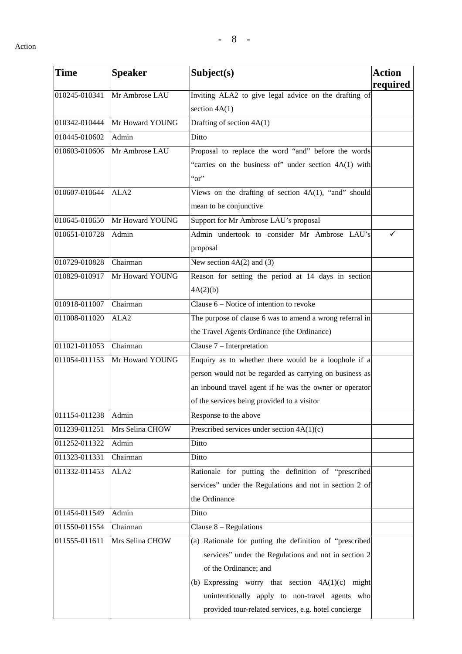| <b>Time</b>   | <b>Speaker</b>   | Subject(s)                                               | Action   |
|---------------|------------------|----------------------------------------------------------|----------|
|               |                  |                                                          | required |
| 010245-010341 | Mr Ambrose LAU   | Inviting ALA2 to give legal advice on the drafting of    |          |
|               |                  | section $4A(1)$                                          |          |
| 010342-010444 | Mr Howard YOUNG  | Drafting of section 4A(1)                                |          |
| 010445-010602 | Admin            | Ditto                                                    |          |
| 010603-010606 | Mr Ambrose LAU   | Proposal to replace the word "and" before the words      |          |
|               |                  | "carries on the business of" under section 4A(1) with    |          |
|               |                  | $\alpha$ <sup>"</sup>                                    |          |
| 010607-010644 | ALA <sub>2</sub> | Views on the drafting of section 4A(1), "and" should     |          |
|               |                  | mean to be conjunctive                                   |          |
| 010645-010650 | Mr Howard YOUNG  | Support for Mr Ambrose LAU's proposal                    |          |
| 010651-010728 | Admin            | Admin undertook to consider Mr Ambrose LAU's             |          |
|               |                  | proposal                                                 |          |
| 010729-010828 | Chairman         | New section $4A(2)$ and (3)                              |          |
| 010829-010917 | Mr Howard YOUNG  | Reason for setting the period at 14 days in section      |          |
|               |                  | 4A(2)(b)                                                 |          |
| 010918-011007 | Chairman         | Clause $6$ – Notice of intention to revoke               |          |
| 011008-011020 | ALA <sub>2</sub> | The purpose of clause 6 was to amend a wrong referral in |          |
|               |                  | the Travel Agents Ordinance (the Ordinance)              |          |
| 011021-011053 | Chairman         | Clause 7 - Interpretation                                |          |
| 011054-011153 | Mr Howard YOUNG  | Enquiry as to whether there would be a loophole if a     |          |
|               |                  | person would not be regarded as carrying on business as  |          |
|               |                  | an inbound travel agent if he was the owner or operator  |          |
|               |                  | of the services being provided to a visitor              |          |
| 011154-011238 | Admin            | Response to the above                                    |          |
| 011239-011251 | Mrs Selina CHOW  | Prescribed services under section $4A(1)(c)$             |          |
| 011252-011322 | Admin            | Ditto                                                    |          |
| 011323-011331 | Chairman         | Ditto                                                    |          |
| 011332-011453 | ALA <sub>2</sub> | Rationale for putting the definition of "prescribed      |          |
|               |                  | services" under the Regulations and not in section 2 of  |          |
|               |                  | the Ordinance                                            |          |
| 011454-011549 | Admin            | Ditto                                                    |          |
| 011550-011554 | Chairman         | Clause $8 -$ Regulations                                 |          |
| 011555-011611 | Mrs Selina CHOW  | (a) Rationale for putting the definition of "prescribed  |          |
|               |                  | services" under the Regulations and not in section 2     |          |
|               |                  | of the Ordinance; and                                    |          |
|               |                  | (b) Expressing worry that section $4A(1)(c)$ might       |          |
|               |                  | unintentionally apply to non-travel agents who           |          |
|               |                  | provided tour-related services, e.g. hotel concierge     |          |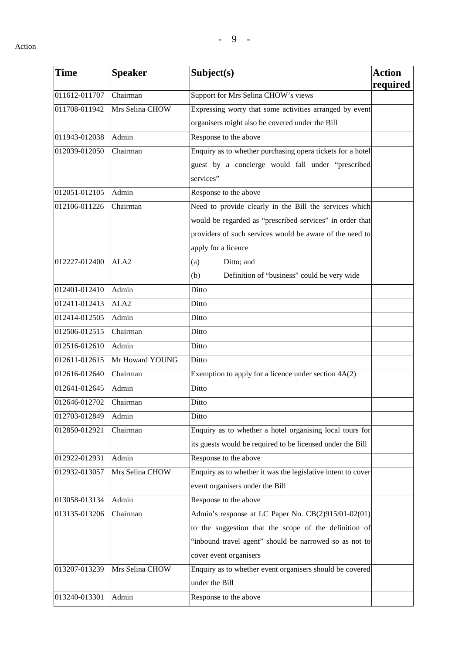| <b>Time</b>   | <b>Speaker</b>   | Subject(s)                                                   | <b>Action</b><br>required |
|---------------|------------------|--------------------------------------------------------------|---------------------------|
| 011612-011707 | Chairman         | Support for Mrs Selina CHOW's views                          |                           |
| 011708-011942 | Mrs Selina CHOW  | Expressing worry that some activities arranged by event      |                           |
|               |                  | organisers might also be covered under the Bill              |                           |
| 011943-012038 | Admin            | Response to the above                                        |                           |
| 012039-012050 | Chairman         | Enquiry as to whether purchasing opera tickets for a hotel   |                           |
|               |                  | guest by a concierge would fall under "prescribed            |                           |
|               |                  | services"                                                    |                           |
| 012051-012105 | Admin            | Response to the above                                        |                           |
| 012106-011226 | Chairman         | Need to provide clearly in the Bill the services which       |                           |
|               |                  | would be regarded as "prescribed services" in order that     |                           |
|               |                  | providers of such services would be aware of the need to     |                           |
|               |                  | apply for a licence                                          |                           |
| 012227-012400 | ALA <sub>2</sub> | Ditto; and<br>(a)                                            |                           |
|               |                  | Definition of "business" could be very wide<br>(b)           |                           |
| 012401-012410 | Admin            | Ditto                                                        |                           |
| 012411-012413 | ALA <sub>2</sub> | Ditto                                                        |                           |
| 012414-012505 | Admin            | Ditto                                                        |                           |
| 012506-012515 | Chairman         | Ditto                                                        |                           |
| 012516-012610 | Admin            | Ditto                                                        |                           |
| 012611-012615 | Mr Howard YOUNG  | Ditto                                                        |                           |
| 012616-012640 | Chairman         | Exemption to apply for a licence under section $4A(2)$       |                           |
| 012641-012645 | Admin            | Ditto                                                        |                           |
| 012646-012702 | Chairman         | Ditto                                                        |                           |
| 012703-012849 | Admin            | Ditto                                                        |                           |
| 012850-012921 | Chairman         | Enquiry as to whether a hotel organising local tours for     |                           |
|               |                  | its guests would be required to be licensed under the Bill   |                           |
| 012922-012931 | Admin            | Response to the above                                        |                           |
| 012932-013057 | Mrs Selina CHOW  | Enquiry as to whether it was the legislative intent to cover |                           |
|               |                  | event organisers under the Bill                              |                           |
| 013058-013134 | Admin            | Response to the above                                        |                           |
| 013135-013206 | Chairman         | Admin's response at LC Paper No. CB(2)915/01-02(01)          |                           |
|               |                  | to the suggestion that the scope of the definition of        |                           |
|               |                  | "inbound travel agent" should be narrowed so as not to       |                           |
|               |                  | cover event organisers                                       |                           |
| 013207-013239 | Mrs Selina CHOW  | Enquiry as to whether event organisers should be covered     |                           |
|               |                  | under the Bill                                               |                           |
| 013240-013301 | Admin            | Response to the above                                        |                           |